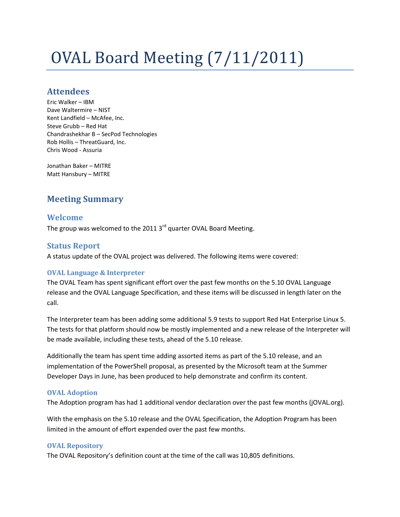# OVAL Board Meeting (7/11/2011)

# **Attendees**

Eric Walker – IBM Dave Waltermire – NIST Kent Landfield – McAfee, Inc. Steve Grubb – Red Hat Chandrashekhar B – SecPod Technologies Rob Hollis – ThreatGuard, Inc. Chris Wood - Assuria

Jonathan Baker – MITRE Matt Hansbury – MITRE

# **Meeting Summary**

# **Welcome**

The group was welcomed to the 2011 3<sup>rd</sup> quarter OVAL Board Meeting.

# **Status Report**

A status update of the OVAL project was delivered. The following items were covered:

## **OVAL Language & Interpreter**

The OVAL Team has spent significant effort over the past few months on the 5.10 OVAL Language release and the OVAL Language Specification, and these items will be discussed in length later on the call.

The Interpreter team has been adding some additional 5.9 tests to support Red Hat Enterprise Linux 5. The tests for that platform should now be mostly implemented and a new release of the Interpreter will be made available, including these tests, ahead of the 5.10 release.

Additionally the team has spent time adding assorted items as part of the 5.10 release, and an implementation of the PowerShell proposal, as presented by the Microsoft team at the Summer Developer Days in June, has been produced to help demonstrate and confirm its content.

## **OVAL Adoption**

The Adoption program has had 1 additional vendor declaration over the past few months (jOVAL.org).

With the emphasis on the 5.10 release and the OVAL Specification, the Adoption Program has been limited in the amount of effort expended over the past few months.

#### **OVAL Repository**

The OVAL Repository's definition count at the time of the call was 10,805 definitions.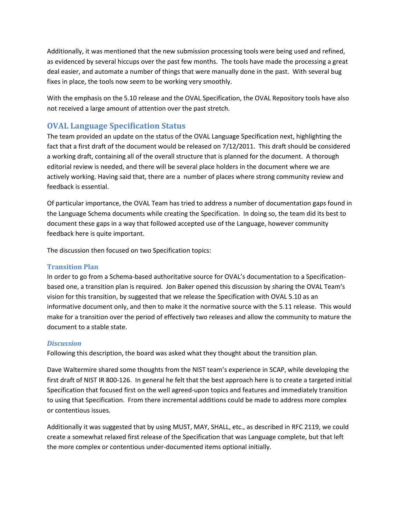Additionally, it was mentioned that the new submission processing tools were being used and refined, as evidenced by several hiccups over the past few months. The tools have made the processing a great deal easier, and automate a number of things that were manually done in the past. With several bug fixes in place, the tools now seem to be working very smoothly.

With the emphasis on the 5.10 release and the OVAL Specification, the OVAL Repository tools have also not received a large amount of attention over the past stretch.

# **OVAL Language Specification Status**

The team provided an update on the status of the OVAL Language Specification next, highlighting the fact that a first draft of the document would be released on 7/12/2011. This draft should be considered a working draft, containing all of the overall structure that is planned for the document. A thorough editorial review is needed, and there will be several place holders in the document where we are actively working. Having said that, there are a number of places where strong community review and feedback is essential.

Of particular importance, the OVAL Team has tried to address a number of documentation gaps found in the Language Schema documents while creating the Specification. In doing so, the team did its best to document these gaps in a way that followed accepted use of the Language, however community feedback here is quite important.

The discussion then focused on two Specification topics:

## **Transition Plan**

In order to go from a Schema-based authoritative source for OVAL's documentation to a Specificationbased one, a transition plan is required. Jon Baker opened this discussion by sharing the OVAL Team's vision for this transition, by suggested that we release the Specification with OVAL 5.10 as an informative document only, and then to make it the normative source with the 5.11 release. This would make for a transition over the period of effectively two releases and allow the community to mature the document to a stable state.

## *Discussion*

Following this description, the board was asked what they thought about the transition plan.

Dave Waltermire shared some thoughts from the NIST team's experience in SCAP, while developing the first draft of NIST IR 800-126. In general he felt that the best approach here is to create a targeted initial Specification that focused first on the well agreed-upon topics and features and immediately transition to using that Specification. From there incremental additions could be made to address more complex or contentious issues.

Additionally it was suggested that by using MUST, MAY, SHALL, etc., as described in RFC 2119, we could create a somewhat relaxed first release of the Specification that was Language complete, but that left the more complex or contentious under-documented items optional initially.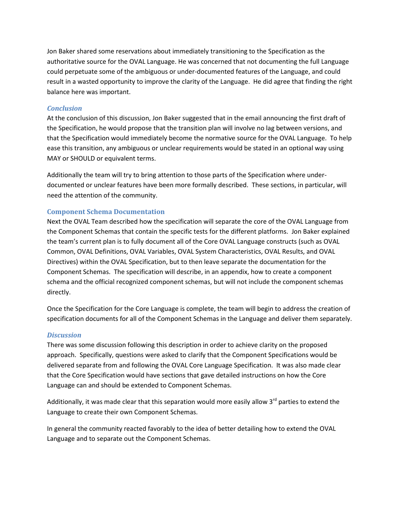Jon Baker shared some reservations about immediately transitioning to the Specification as the authoritative source for the OVAL Language. He was concerned that not documenting the full Language could perpetuate some of the ambiguous or under-documented features of the Language, and could result in a wasted opportunity to improve the clarity of the Language. He did agree that finding the right balance here was important.

## *Conclusion*

At the conclusion of this discussion, Jon Baker suggested that in the email announcing the first draft of the Specification, he would propose that the transition plan will involve no lag between versions, and that the Specification would immediately become the normative source for the OVAL Language. To help ease this transition, any ambiguous or unclear requirements would be stated in an optional way using MAY or SHOULD or equivalent terms.

Additionally the team will try to bring attention to those parts of the Specification where underdocumented or unclear features have been more formally described. These sections, in particular, will need the attention of the community.

## **Component Schema Documentation**

Next the OVAL Team described how the specification will separate the core of the OVAL Language from the Component Schemas that contain the specific tests for the different platforms. Jon Baker explained the team's current plan is to fully document all of the Core OVAL Language constructs (such as OVAL Common, OVAL Definitions, OVAL Variables, OVAL System Characteristics, OVAL Results, and OVAL Directives) within the OVAL Specification, but to then leave separate the documentation for the Component Schemas. The specification will describe, in an appendix, how to create a component schema and the official recognized component schemas, but will not include the component schemas directly.

Once the Specification for the Core Language is complete, the team will begin to address the creation of specification documents for all of the Component Schemas in the Language and deliver them separately.

#### *Discussion*

There was some discussion following this description in order to achieve clarity on the proposed approach. Specifically, questions were asked to clarify that the Component Specifications would be delivered separate from and following the OVAL Core Language Specification. It was also made clear that the Core Specification would have sections that gave detailed instructions on how the Core Language can and should be extended to Component Schemas.

Additionally, it was made clear that this separation would more easily allow 3<sup>rd</sup> parties to extend the Language to create their own Component Schemas.

In general the community reacted favorably to the idea of better detailing how to extend the OVAL Language and to separate out the Component Schemas.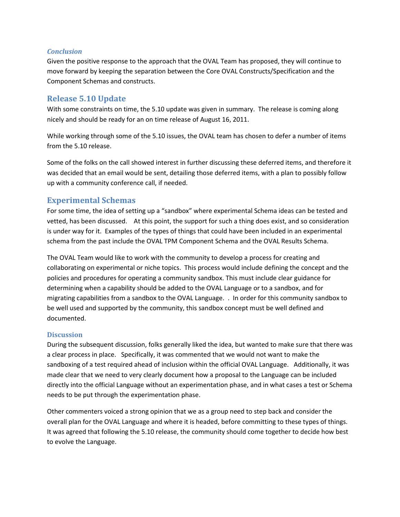#### *Conclusion*

Given the positive response to the approach that the OVAL Team has proposed, they will continue to move forward by keeping the separation between the Core OVAL Constructs/Specification and the Component Schemas and constructs.

## **Release 5.10 Update**

With some constraints on time, the 5.10 update was given in summary. The release is coming along nicely and should be ready for an on time release of August 16, 2011.

While working through some of the 5.10 issues, the OVAL team has chosen to defer a number of items from the 5.10 release.

Some of the folks on the call showed interest in further discussing these deferred items, and therefore it was decided that an email would be sent, detailing those deferred items, with a plan to possibly follow up with a community conference call, if needed.

# **Experimental Schemas**

For some time, the idea of setting up a "sandbox" where experimental Schema ideas can be tested and vetted, has been discussed. At this point, the support for such a thing does exist, and so consideration is under way for it. Examples of the types of things that could have been included in an experimental schema from the past include the OVAL TPM Component Schema and the OVAL Results Schema.

The OVAL Team would like to work with the community to develop a process for creating and collaborating on experimental or niche topics. This process would include defining the concept and the policies and procedures for operating a community sandbox. This must include clear guidance for determining when a capability should be added to the OVAL Language or to a sandbox, and for migrating capabilities from a sandbox to the OVAL Language. . In order for this community sandbox to be well used and supported by the community, this sandbox concept must be well defined and documented.

#### **Discussion**

During the subsequent discussion, folks generally liked the idea, but wanted to make sure that there was a clear process in place. Specifically, it was commented that we would not want to make the sandboxing of a test required ahead of inclusion within the official OVAL Language. Additionally, it was made clear that we need to very clearly document how a proposal to the Language can be included directly into the official Language without an experimentation phase, and in what cases a test or Schema needs to be put through the experimentation phase.

Other commenters voiced a strong opinion that we as a group need to step back and consider the overall plan for the OVAL Language and where it is headed, before committing to these types of things. It was agreed that following the 5.10 release, the community should come together to decide how best to evolve the Language.